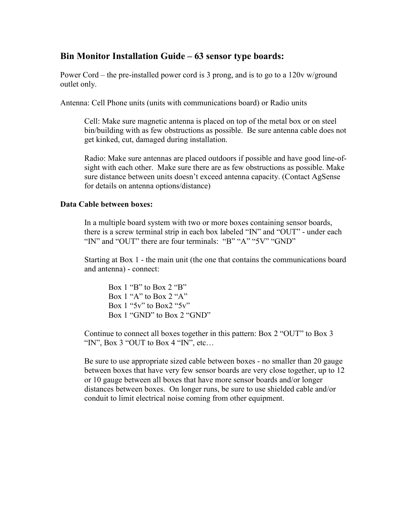## **Bin Monitor Installation Guide – 63 sensor type boards:**

Power Cord – the pre-installed power cord is 3 prong, and is to go to a 120v w/ground outlet only.

Antenna: Cell Phone units (units with communications board) or Radio units

Cell: Make sure magnetic antenna is placed on top of the metal box or on steel bin/building with as few obstructions as possible. Be sure antenna cable does not get kinked, cut, damaged during installation.

Radio: Make sure antennas are placed outdoors if possible and have good line-ofsight with each other. Make sure there are as few obstructions as possible. Make sure distance between units doesn't exceed antenna capacity. (Contact AgSense for details on antenna options/distance)

### **Data Cable between boxes:**

In a multiple board system with two or more boxes containing sensor boards, there is a screw terminal strip in each box labeled "IN" and "OUT" - under each "IN" and "OUT" there are four terminals: "B" "A" "5V" "GND"

Starting at Box 1 - the main unit (the one that contains the communications board and antenna) - connect:

Box 1 "B" to Box 2 "B" Box 1 "A" to Box 2 "A" Box 1 " $5v$ " to Box 2 " $5v$ " Box 1 "GND" to Box 2 "GND"

Continue to connect all boxes together in this pattern: Box 2 "OUT" to Box 3 "IN", Box 3 "OUT to Box 4 "IN", etc...

Be sure to use appropriate sized cable between boxes - no smaller than 20 gauge between boxes that have very few sensor boards are very close together, up to 12 or 10 gauge between all boxes that have more sensor boards and/or longer distances between boxes. On longer runs, be sure to use shielded cable and/or conduit to limit electrical noise coming from other equipment.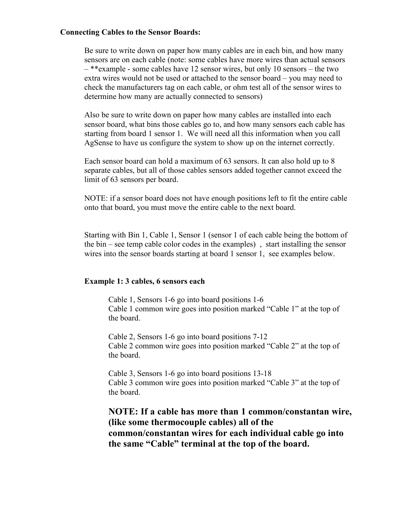#### **Connecting Cables to the Sensor Boards:**

Be sure to write down on paper how many cables are in each bin, and how many sensors are on each cable (note: some cables have more wires than actual sensors – \*\*example - some cables have 12 sensor wires, but only 10 sensors – the two extra wires would not be used or attached to the sensor board – you may need to check the manufacturers tag on each cable, or ohm test all of the sensor wires to determine how many are actually connected to sensors)

Also be sure to write down on paper how many cables are installed into each sensor board, what bins those cables go to, and how many sensors each cable has starting from board 1 sensor 1. We will need all this information when you call AgSense to have us configure the system to show up on the internet correctly.

Each sensor board can hold a maximum of 63 sensors. It can also hold up to 8 separate cables, but all of those cables sensors added together cannot exceed the limit of 63 sensors per board.

NOTE: if a sensor board does not have enough positions left to fit the entire cable onto that board, you must move the entire cable to the next board.

Starting with Bin 1, Cable 1, Sensor 1 (sensor 1 of each cable being the bottom of the bin – see temp cable color codes in the examples) , start installing the sensor wires into the sensor boards starting at board 1 sensor 1, see examples below.

#### **Example 1: 3 cables, 6 sensors each**

 Cable 1, Sensors 1-6 go into board positions 1-6 Cable 1 common wire goes into position marked "Cable 1" at the top of the board.

Cable 2, Sensors 1-6 go into board positions 7-12 Cable 2 common wire goes into position marked "Cable 2" at the top of the board.

Cable 3, Sensors 1-6 go into board positions 13-18 Cable 3 common wire goes into position marked "Cable 3" at the top of the board.

**NOTE: If a cable has more than 1 common/constantan wire, (like some thermocouple cables) all of the common/constantan wires for each individual cable go into the same "Cable" terminal at the top of the board.**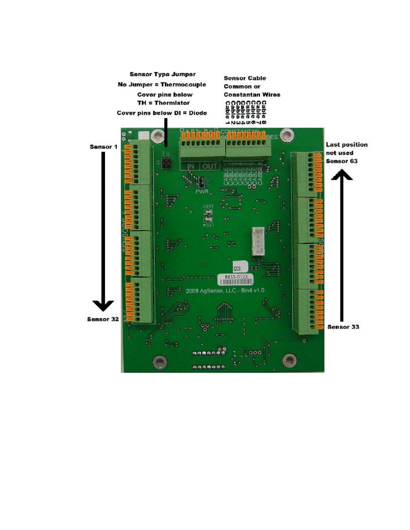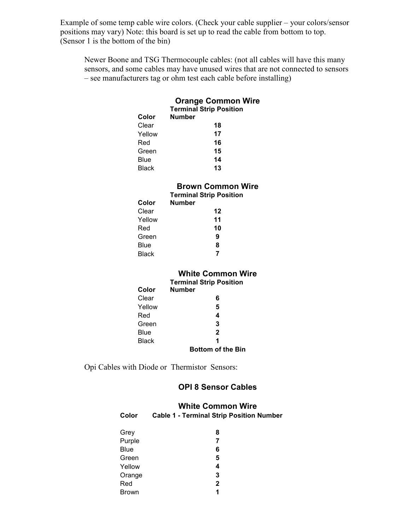Example of some temp cable wire colors. (Check your cable supplier – your colors/sensor positions may vary) Note: this board is set up to read the cable from bottom to top. (Sensor 1 is the bottom of the bin)

Newer Boone and TSG Thermocouple cables: (not all cables will have this many sensors, and some cables may have unused wires that are not connected to sensors – see manufacturers tag or ohm test each cable before installing)

#### **Orange Common Wire Terminal Strip Position**

| Color        | <b>Number</b> |    |
|--------------|---------------|----|
| Clear        |               | 18 |
| Yellow       |               | 17 |
| Red          |               | 16 |
| Green        |               | 15 |
| Blue         |               | 14 |
| <b>Black</b> |               | 13 |

## **Brown Common Wire**

|        | <b>Terminal Strip Position</b> |  |
|--------|--------------------------------|--|
| Color  | <b>Number</b>                  |  |
| Clear  | 12                             |  |
| Yellow | 11                             |  |
| Red    | 10                             |  |
| Green  | 9                              |  |
| Blue   | 8                              |  |
| Black  | 7                              |  |
|        |                                |  |

### **White Common Wire**

|        | <b>Terminal Strip Position</b> |  |
|--------|--------------------------------|--|
| Color  | <b>Number</b>                  |  |
| Clear  | 6                              |  |
| Yellow | 5                              |  |
| Red    | 4                              |  |
| Green  | 3                              |  |
| Blue   | $\mathbf{2}$                   |  |
| Black  | 1                              |  |
|        | <b>Bottom of the Bin</b>       |  |

Opi Cables with Diode or Thermistor Sensors:

Brown **1** 

#### **OPI 8 Sensor Cables**

### **White Common Wire**

| Color       | <b>Cable 1 - Terminal Strip Position Number</b> |
|-------------|-------------------------------------------------|
| Grey        | 8                                               |
| Purple      | 7                                               |
| <b>Blue</b> | 6                                               |
| Green       | 5                                               |
| Yellow      | 4                                               |
| Orange      | 3                                               |
| Red         | 2                                               |